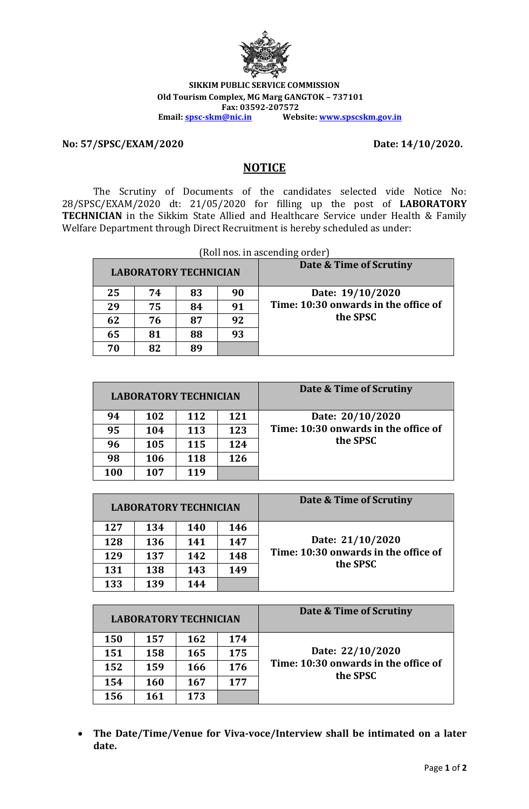

**SIKKIM PUBLIC SERVICE COMMISSION Old Tourism Complex, MG Marg GANGTOK – 737101 Fax: 03592-207572**<br>**Email:** <u>spsc-skm@nic.in</u> Web **Email: [spsc-skm@nic.in](mailto:spsc-skm@nic.in) Website[: www.spscskm.gov.in](http://www.spscskm.gov.in/)**

**No: 57/SPSC/EXAM/2020 Date: 14/10/2020.**

## **NOTICE**

The Scrutiny of Documents of the candidates selected vide Notice No: 28/SPSC/EXAM/2020 dt: 21/05/2020 for filling up the post of **LABORATORY TECHNICIAN** in the Sikkim State Allied and Healthcare Service under Health & Family Welfare Department through Direct Recruitment is hereby scheduled as under:

| (Roll nos. in ascending order) |    |    |    |                                      |
|--------------------------------|----|----|----|--------------------------------------|
| <b>LABORATORY TECHNICIAN</b>   |    |    |    | Date & Time of Scrutiny              |
| 25                             | 74 | 83 | 90 | Date: 19/10/2020                     |
| 29                             | 75 | 84 | 91 | Time: 10:30 onwards in the office of |
| 62                             | 76 | 87 | 92 | the SPSC                             |
| 65                             | 81 | 88 | 93 |                                      |
| 70                             | 82 | Rθ |    |                                      |

| <b>LABORATORY TECHNICIAN</b> |     |     |     | Date & Time of Scrutiny              |
|------------------------------|-----|-----|-----|--------------------------------------|
| 94                           | 102 | 112 | 121 | Date: 20/10/2020                     |
| 95                           | 104 | 113 | 123 | Time: 10:30 onwards in the office of |
| 96                           | 105 | 115 | 124 | the SPSC                             |
| 98                           | 106 | 118 | 126 |                                      |
| <b>100</b>                   | 107 | 119 |     |                                      |

| <b>LABORATORY TECHNICIAN</b> |     |     |     | Date & Time of Scrutiny              |
|------------------------------|-----|-----|-----|--------------------------------------|
| 127                          | 134 | 140 | 146 |                                      |
| 128                          | 136 | 141 | 147 | Date: 21/10/2020                     |
| 129                          | 137 | 142 | 148 | Time: 10:30 onwards in the office of |
| 131                          | 138 | 143 | 149 | the SPSC                             |
| 133                          | 139 | 144 |     |                                      |

| <b>LABORATORY TECHNICIAN</b> |     |     |     | Date & Time of Scrutiny                          |
|------------------------------|-----|-----|-----|--------------------------------------------------|
| 150                          | 157 | 162 | 174 |                                                  |
| 151                          | 158 | 165 | 175 | Date: 22/10/2020                                 |
| 152                          | 159 | 166 | 176 | Time: 10:30 onwards in the office of<br>the SPSC |
| 154                          | 160 | 167 | 177 |                                                  |
| 156                          | 161 | 173 |     |                                                  |

• **The Date/Time/Venue for Viva-voce/Interview shall be intimated on a later date.**